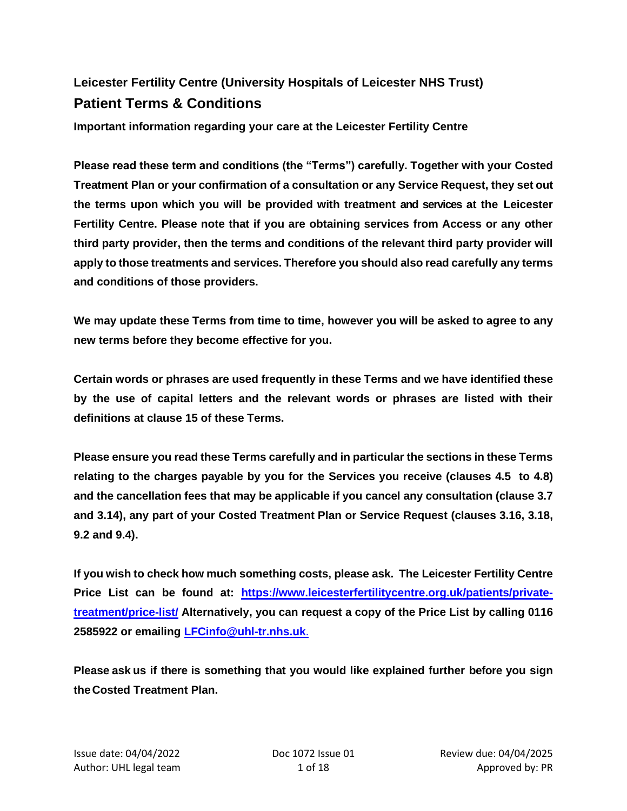# **Leicester Fertility Centre (University Hospitals of Leicester NHS Trust) Patient Terms & Conditions**

**Important information regarding your care at the Leicester Fertility Centre**

**Please read these term and conditions (the "Terms") carefully. Together with your Costed Treatment Plan or your confirmation of a consultation or any Service Request, they set out the terms upon which you will be provided with treatment and services at the Leicester Fertility Centre. Please note that if you are obtaining services from Access or any other third party provider, then the terms and conditions of the relevant third party provider will apply to those treatments and services. Therefore you should also read carefully any terms and conditions of those providers.**

**We may update these Terms from time to time, however you will be asked to agree to any new terms before they become effective for you.** 

**Certain words or phrases are used frequently in these Terms and we have identified these by the use of capital letters and the relevant words or phrases are listed with their definitions at clause [15](#page-16-0) of these Terms.**

**Please ensure you read these Terms carefully and in particular the sections in these Terms relating to the charges payable by you for the Services you receive (clauses [4.5](#page-7-0) to [4.8\)](#page-7-1) and the cancellation fees that may be applicable if you cancel any consultation (clause [3.7](#page-3-0) and [3.14\)](#page-4-0), any part of your Costed Treatment Plan or Service Request (clauses [3.16,](#page-4-1) [3.18,](#page-5-0) [9.2](#page-10-0) and [9.4\)](#page-11-0).** 

**If you wish to check how much something costs, please ask. The Leicester Fertility Centre Price List can be found at: [https://www.leicesterfertilitycentre.org.uk/patients/private](https://www.leicesterfertilitycentre.org.uk/patients/private-treatment/price-list/)[treatment/price-list/](https://www.leicesterfertilitycentre.org.uk/patients/private-treatment/price-list/) Alternatively, you can request a copy of the Price List by calling 0116 2585922 or emailing [LFCinfo@uhl-tr.nhs.uk](mailto:LFCinfo@uhl-tr.nhs.uk)**.

**Please ask us if there is something that you would like explained further before you sign theCosted Treatment Plan.**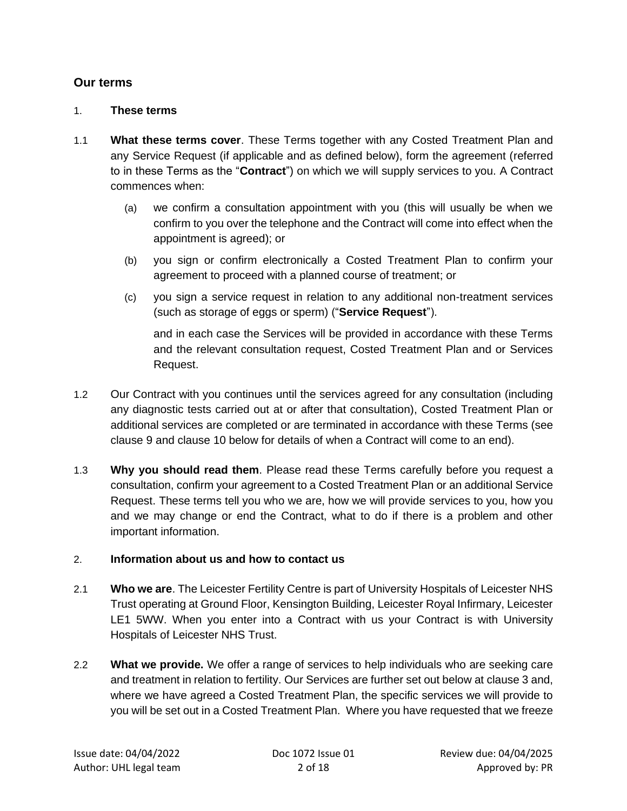# **Our terms**

#### 1. **These terms**

- 1.1 **What these terms cover**. These Terms together with any Costed Treatment Plan and any Service Request (if applicable and as defined below), form the agreement (referred to in these Terms as the "**Contract**") on which we will supply services to you. A Contract commences when:
	- (a) we confirm a consultation appointment with you (this will usually be when we confirm to you over the telephone and the Contract will come into effect when the appointment is agreed); or
	- (b) you sign or confirm electronically a Costed Treatment Plan to confirm your agreement to proceed with a planned course of treatment; or
	- (c) you sign a service request in relation to any additional non-treatment services (such as storage of eggs or sperm) ("**Service Request**").

and in each case the Services will be provided in accordance with these Terms and the relevant consultation request, Costed Treatment Plan and or Services Request.

- 1.2 Our Contract with you continues until the services agreed for any consultation (including any diagnostic tests carried out at or after that consultation), Costed Treatment Plan or additional services are completed or are terminated in accordance with these Terms (see clause [9](#page-10-1) and clause [10](#page-11-1) below for details of when a Contract will come to an end).
- 1.3 **Why you should read them**. Please read these Terms carefully before you request a consultation, confirm your agreement to a Costed Treatment Plan or an additional Service Request. These terms tell you who we are, how we will provide services to you, how you and we may change or end the Contract, what to do if there is a problem and other important information.

#### 2. **Information about us and how to contact us**

- 2.1 **Who we are**. The Leicester Fertility Centre is part of University Hospitals of Leicester NHS Trust operating at Ground Floor, Kensington Building, Leicester Royal Infirmary, Leicester LE1 5WW. When you enter into a Contract with us your Contract is with University Hospitals of Leicester NHS Trust.
- 2.2 **What we provide.** We offer a range of services to help individuals who are seeking care and treatment in relation to fertility. Our Services are further set out below at clause [3](#page-2-0) and, where we have agreed a Costed Treatment Plan, the specific services we will provide to you will be set out in a Costed Treatment Plan. Where you have requested that we freeze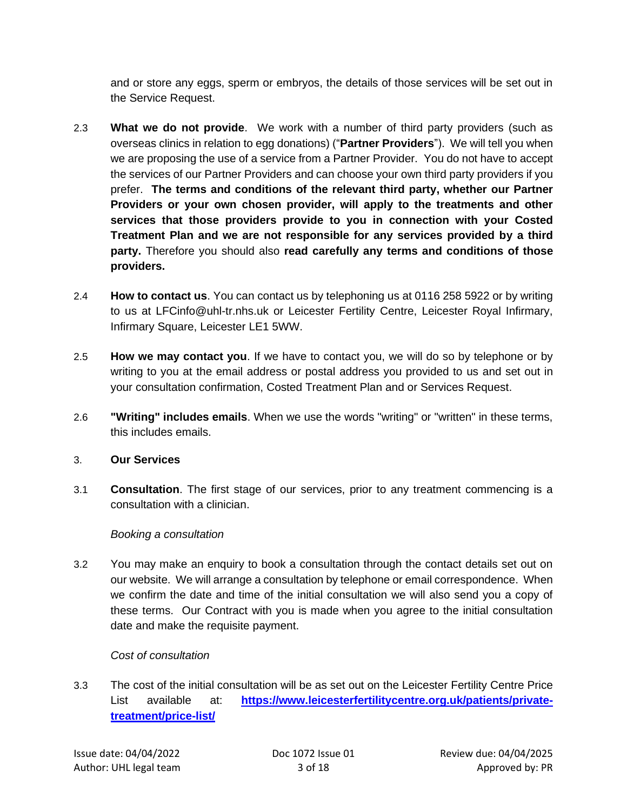and or store any eggs, sperm or embryos, the details of those services will be set out in the Service Request.

- <span id="page-2-1"></span>2.3 **What we do not provide**. We work with a number of third party providers (such as overseas clinics in relation to egg donations) ("**Partner Providers**"). We will tell you when we are proposing the use of a service from a Partner Provider. You do not have to accept the services of our Partner Providers and can choose your own third party providers if you prefer. **The terms and conditions of the relevant third party, whether our Partner Providers or your own chosen provider, will apply to the treatments and other services that those providers provide to you in connection with your Costed Treatment Plan and we are not responsible for any services provided by a third party.** Therefore you should also **read carefully any terms and conditions of those providers.**
- 2.4 **How to contact us**. You can contact us by telephoning us at 0116 258 5922 or by writing to us at LFCinfo@uhl-tr.nhs.uk or Leicester Fertility Centre, Leicester Royal Infirmary, Infirmary Square, Leicester LE1 5WW.
- 2.5 **How we may contact you**. If we have to contact you, we will do so by telephone or by writing to you at the email address or postal address you provided to us and set out in your consultation confirmation, Costed Treatment Plan and or Services Request.
- 2.6 **"Writing" includes emails**. When we use the words "writing" or "written" in these terms, this includes emails.

#### <span id="page-2-0"></span>3. **Our Services**

3.1 **Consultation**. The first stage of our services, prior to any treatment commencing is a consultation with a clinician.

# *Booking a consultation*

3.2 You may make an enquiry to book a consultation through the contact details set out on our website. We will arrange a consultation by telephone or email correspondence. When we confirm the date and time of the initial consultation we will also send you a copy of these terms. Our Contract with you is made when you agree to the initial consultation date and make the requisite payment.

# *Cost of consultation*

3.3 The cost of the initial consultation will be as set out on the Leicester Fertility Centre Price List available at: [https://www.leicesterfertilitycentre.org.uk/patients/private](https://www.leicesterfertilitycentre.org.uk/patients/private-treatment/price-list/)**[treatment/price-list/](https://www.leicesterfertilitycentre.org.uk/patients/private-treatment/price-list/)**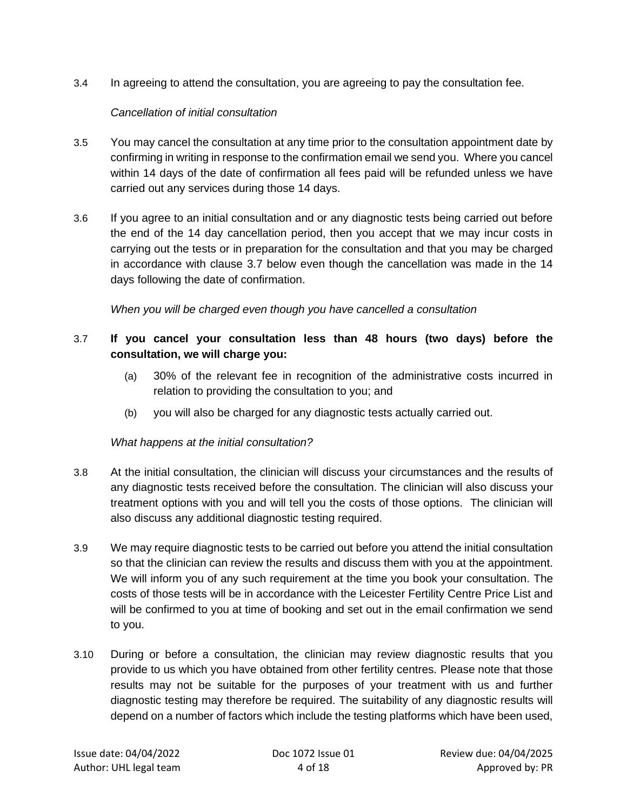3.4 In agreeing to attend the consultation, you are agreeing to pay the consultation fee.

#### *Cancellation of initial consultation*

- 3.5 You may cancel the consultation at any time prior to the consultation appointment date by confirming in writing in response to the confirmation email we send you. Where you cancel within 14 days of the date of confirmation all fees paid will be refunded unless we have carried out any services during those 14 days.
- 3.6 If you agree to an initial consultation and or any diagnostic tests being carried out before the end of the 14 day cancellation period, then you accept that we may incur costs in carrying out the tests or in preparation for the consultation and that you may be charged in accordance with clause [3.7](#page-3-0) below even though the cancellation was made in the 14 days following the date of confirmation.

*When you will be charged even though you have cancelled a consultation*

# <span id="page-3-0"></span>3.7 **If you cancel your consultation less than 48 hours (two days) before the consultation, we will charge you:**

- (a) 30% of the relevant fee in recognition of the administrative costs incurred in relation to providing the consultation to you; and
- (b) you will also be charged for any diagnostic tests actually carried out.

# *What happens at the initial consultation?*

- 3.8 At the initial consultation, the clinician will discuss your circumstances and the results of any diagnostic tests received before the consultation. The clinician will also discuss your treatment options with you and will tell you the costs of those options. The clinician will also discuss any additional diagnostic testing required.
- 3.9 We may require diagnostic tests to be carried out before you attend the initial consultation so that the clinician can review the results and discuss them with you at the appointment. We will inform you of any such requirement at the time you book your consultation. The costs of those tests will be in accordance with the Leicester Fertility Centre Price List and will be confirmed to you at time of booking and set out in the email confirmation we send to you.
- 3.10 During or before a consultation, the clinician may review diagnostic results that you provide to us which you have obtained from other fertility centres. Please note that those results may not be suitable for the purposes of your treatment with us and further diagnostic testing may therefore be required. The suitability of any diagnostic results will depend on a number of factors which include the testing platforms which have been used,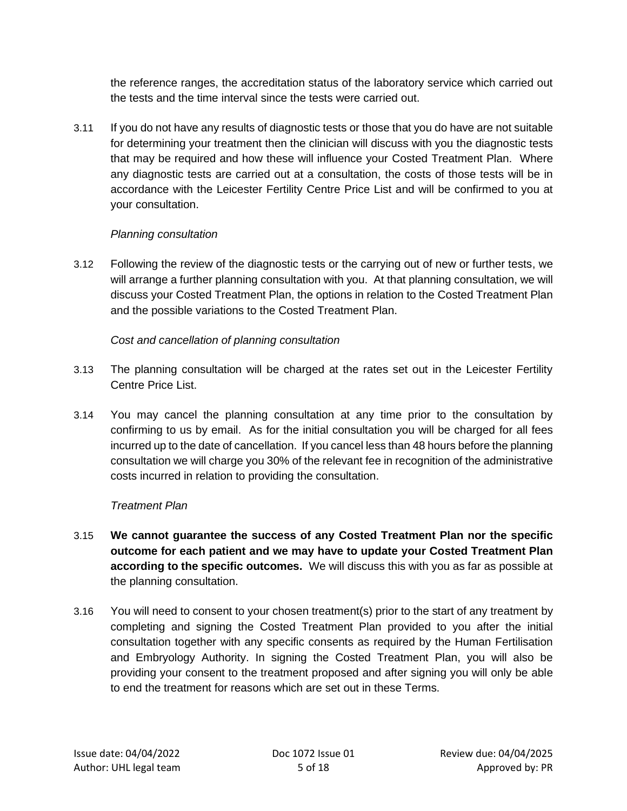the reference ranges, the accreditation status of the laboratory service which carried out the tests and the time interval since the tests were carried out.

3.11 If you do not have any results of diagnostic tests or those that you do have are not suitable for determining your treatment then the clinician will discuss with you the diagnostic tests that may be required and how these will influence your Costed Treatment Plan. Where any diagnostic tests are carried out at a consultation, the costs of those tests will be in accordance with the Leicester Fertility Centre Price List and will be confirmed to you at your consultation.

#### *Planning consultation*

3.12 Following the review of the diagnostic tests or the carrying out of new or further tests, we will arrange a further planning consultation with you. At that planning consultation, we will discuss your Costed Treatment Plan, the options in relation to the Costed Treatment Plan and the possible variations to the Costed Treatment Plan.

#### *Cost and cancellation of planning consultation*

- 3.13 The planning consultation will be charged at the rates set out in the Leicester Fertility Centre Price List.
- <span id="page-4-0"></span>3.14 You may cancel the planning consultation at any time prior to the consultation by confirming to us by email. As for the initial consultation you will be charged for all fees incurred up to the date of cancellation. If you cancel less than 48 hours before the planning consultation we will charge you 30% of the relevant fee in recognition of the administrative costs incurred in relation to providing the consultation.

# *Treatment Plan*

- 3.15 **We cannot guarantee the success of any Costed Treatment Plan nor the specific outcome for each patient and we may have to update your Costed Treatment Plan according to the specific outcomes.** We will discuss this with you as far as possible at the planning consultation.
- <span id="page-4-1"></span>3.16 You will need to consent to your chosen treatment(s) prior to the start of any treatment by completing and signing the Costed Treatment Plan provided to you after the initial consultation together with any specific consents as required by the Human Fertilisation and Embryology Authority. In signing the Costed Treatment Plan, you will also be providing your consent to the treatment proposed and after signing you will only be able to end the treatment for reasons which are set out in these Terms.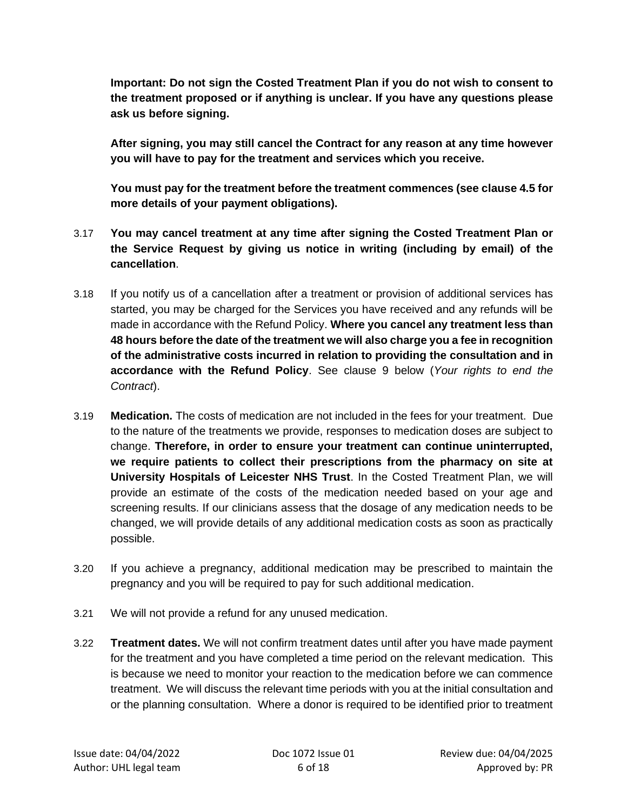**Important: Do not sign the Costed Treatment Plan if you do not wish to consent to the treatment proposed or if anything is unclear. If you have any questions please ask us before signing.** 

**After signing, you may still cancel the Contract for any reason at any time however you will have to pay for the treatment and services which you receive.**

**You must pay for the treatment before the treatment commences (see clause [4.5](#page-7-0) for more details of your payment obligations).**

- 3.17 **You may cancel treatment at any time after signing the Costed Treatment Plan or the Service Request by giving us notice in writing (including by email) of the cancellation**.
- <span id="page-5-0"></span>3.18 If you notify us of a cancellation after a treatment or provision of additional services has started, you may be charged for the Services you have received and any refunds will be made in accordance with the Refund Policy. **Where you cancel any treatment less than 48 hours before the date of the treatment we will also charge you a fee in recognition of the administrative costs incurred in relation to providing the consultation and in accordance with the Refund Policy**. See clause [9](#page-10-1) below (*Your rights to end the Contract*).
- <span id="page-5-1"></span>3.19 **Medication.** The costs of medication are not included in the fees for your treatment. Due to the nature of the treatments we provide, responses to medication doses are subject to change. **Therefore, in order to ensure your treatment can continue uninterrupted, we require patients to collect their prescriptions from the pharmacy on site at University Hospitals of Leicester NHS Trust**. In the Costed Treatment Plan, we will provide an estimate of the costs of the medication needed based on your age and screening results. If our clinicians assess that the dosage of any medication needs to be changed, we will provide details of any additional medication costs as soon as practically possible.
- 3.20 If you achieve a pregnancy, additional medication may be prescribed to maintain the pregnancy and you will be required to pay for such additional medication.
- 3.21 We will not provide a refund for any unused medication.
- 3.22 **Treatment dates.** We will not confirm treatment dates until after you have made payment for the treatment and you have completed a time period on the relevant medication. This is because we need to monitor your reaction to the medication before we can commence treatment. We will discuss the relevant time periods with you at the initial consultation and or the planning consultation. Where a donor is required to be identified prior to treatment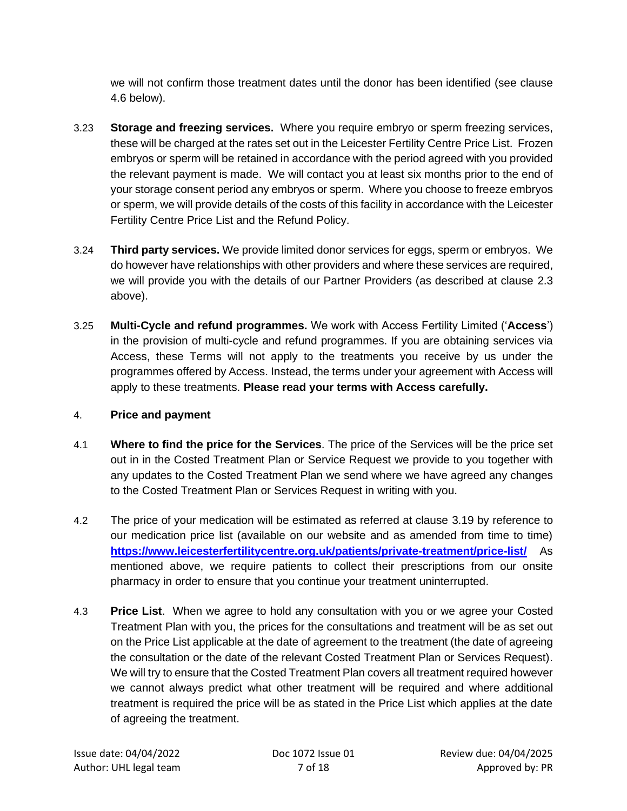we will not confirm those treatment dates until the donor has been identified (see clause [4.6](#page-7-2) below).

- <span id="page-6-0"></span>3.23 **Storage and freezing services.** Where you require embryo or sperm freezing services, these will be charged at the rates set out in the Leicester Fertility Centre Price List. Frozen embryos or sperm will be retained in accordance with the period agreed with you provided the relevant payment is made. We will contact you at least six months prior to the end of your storage consent period any embryos or sperm. Where you choose to freeze embryos or sperm, we will provide details of the costs of this facility in accordance with the Leicester Fertility Centre Price List and the Refund Policy.
- 3.24 **Third party services.** We provide limited donor services for eggs, sperm or embryos. We do however have relationships with other providers and where these services are required, we will provide you with the details of our Partner Providers (as described at clause [2.3](#page-2-1) above).
- 3.25 **Multi-Cycle and refund programmes.** We work with Access Fertility Limited ('**Access**') in the provision of multi-cycle and refund programmes. If you are obtaining services via Access, these Terms will not apply to the treatments you receive by us under the programmes offered by Access. Instead, the terms under your agreement with Access will apply to these treatments. **Please read your terms with Access carefully.**

#### 4. **Price and payment**

- 4.1 **Where to find the price for the Services**. The price of the Services will be the price set out in in the Costed Treatment Plan or Service Request we provide to you together with any updates to the Costed Treatment Plan we send where we have agreed any changes to the Costed Treatment Plan or Services Request in writing with you.
- 4.2 The price of your medication will be estimated as referred at clause [3.19](#page-5-1) by reference to our medication price list (available on our website and as amended from time to time) **<https://www.leicesterfertilitycentre.org.uk/patients/private-treatment/price-list/>** As mentioned above, we require patients to collect their prescriptions from our onsite pharmacy in order to ensure that you continue your treatment uninterrupted.
- 4.3 **Price List**. When we agree to hold any consultation with you or we agree your Costed Treatment Plan with you, the prices for the consultations and treatment will be as set out on the Price List applicable at the date of agreement to the treatment (the date of agreeing the consultation or the date of the relevant Costed Treatment Plan or Services Request). We will try to ensure that the Costed Treatment Plan covers all treatment required however we cannot always predict what other treatment will be required and where additional treatment is required the price will be as stated in the Price List which applies at the date of agreeing the treatment.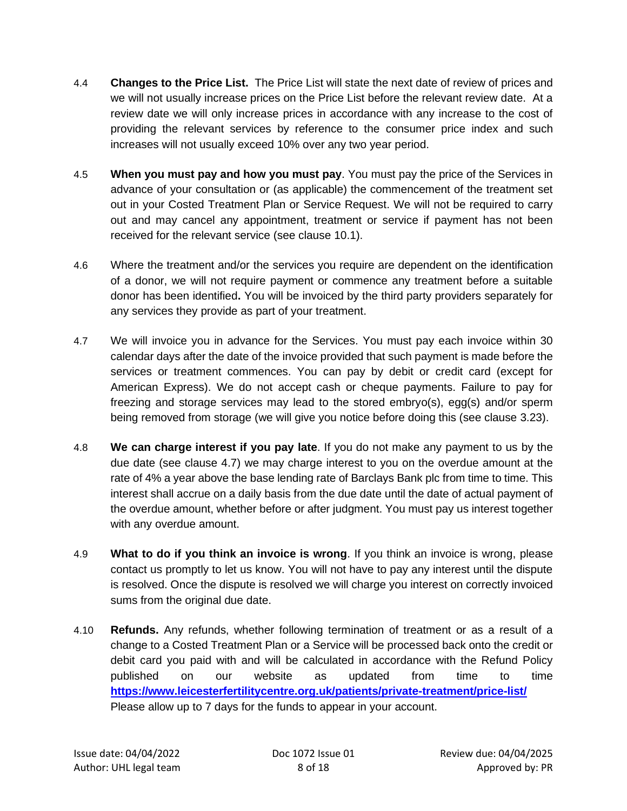- 4.4 **Changes to the Price List.** The Price List will state the next date of review of prices and we will not usually increase prices on the Price List before the relevant review date. At a review date we will only increase prices in accordance with any increase to the cost of providing the relevant services by reference to the consumer price index and such increases will not usually exceed 10% over any two year period.
- <span id="page-7-0"></span>4.5 **When you must pay and how you must pay**. You must pay the price of the Services in advance of your consultation or (as applicable) the commencement of the treatment set out in your Costed Treatment Plan or Service Request. We will not be required to carry out and may cancel any appointment, treatment or service if payment has not been received for the relevant service (see clause [10.1\)](#page-11-2).
- <span id="page-7-2"></span>4.6 Where the treatment and/or the services you require are dependent on the identification of a donor, we will not require payment or commence any treatment before a suitable donor has been identified**.** You will be invoiced by the third party providers separately for any services they provide as part of your treatment.
- <span id="page-7-3"></span>4.7 We will invoice you in advance for the Services. You must pay each invoice within 30 calendar days after the date of the invoice provided that such payment is made before the services or treatment commences. You can pay by debit or credit card (except for American Express). We do not accept cash or cheque payments. Failure to pay for freezing and storage services may lead to the stored embryo(s), egg(s) and/or sperm being removed from storage (we will give you notice before doing this (see clause [3.23\)](#page-6-0).
- <span id="page-7-1"></span>4.8 **We can charge interest if you pay late**. If you do not make any payment to us by the due date (see clause [4.7\)](#page-7-3) we may charge interest to you on the overdue amount at the rate of 4% a year above the base lending rate of Barclays Bank plc from time to time. This interest shall accrue on a daily basis from the due date until the date of actual payment of the overdue amount, whether before or after judgment. You must pay us interest together with any overdue amount.
- <span id="page-7-4"></span>4.9 **What to do if you think an invoice is wrong**. If you think an invoice is wrong, please contact us promptly to let us know. You will not have to pay any interest until the dispute is resolved. Once the dispute is resolved we will charge you interest on correctly invoiced sums from the original due date.
- 4.10 **Refunds.** Any refunds, whether following termination of treatment or as a result of a change to a Costed Treatment Plan or a Service will be processed back onto the credit or debit card you paid with and will be calculated in accordance with the Refund Policy published on our website as updated from time to time **<https://www.leicesterfertilitycentre.org.uk/patients/private-treatment/price-list/>** Please allow up to 7 days for the funds to appear in your account.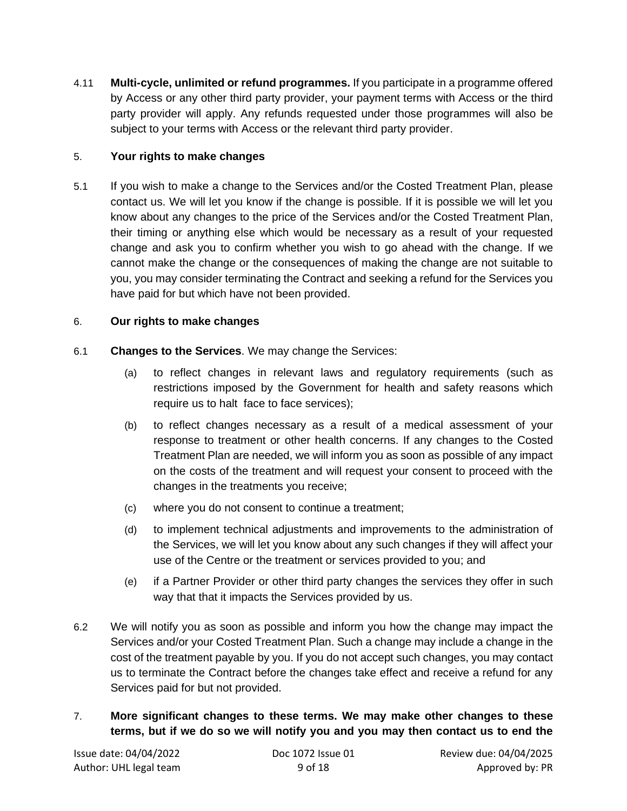4.11 **Multi-cycle, unlimited or refund programmes.** If you participate in a programme offered by Access or any other third party provider, your payment terms with Access or the third party provider will apply. Any refunds requested under those programmes will also be subject to your terms with Access or the relevant third party provider.

# 5. **Your rights to make changes**

5.1 If you wish to make a change to the Services and/or the Costed Treatment Plan, please contact us. We will let you know if the change is possible. If it is possible we will let you know about any changes to the price of the Services and/or the Costed Treatment Plan, their timing or anything else which would be necessary as a result of your requested change and ask you to confirm whether you wish to go ahead with the change. If we cannot make the change or the consequences of making the change are not suitable to you, you may consider terminating the Contract and seeking a refund for the Services you have paid for but which have not been provided.

#### <span id="page-8-0"></span>6. **Our rights to make changes**

- 6.1 **Changes to the Services**. We may change the Services:
	- (a) to reflect changes in relevant laws and regulatory requirements (such as restrictions imposed by the Government for health and safety reasons which require us to halt face to face services);
	- (b) to reflect changes necessary as a result of a medical assessment of your response to treatment or other health concerns. If any changes to the Costed Treatment Plan are needed, we will inform you as soon as possible of any impact on the costs of the treatment and will request your consent to proceed with the changes in the treatments you receive;
	- (c) where you do not consent to continue a treatment;
	- (d) to implement technical adjustments and improvements to the administration of the Services, we will let you know about any such changes if they will affect your use of the Centre or the treatment or services provided to you; and
	- (e) if a Partner Provider or other third party changes the services they offer in such way that that it impacts the Services provided by us.
- 6.2 We will notify you as soon as possible and inform you how the change may impact the Services and/or your Costed Treatment Plan. Such a change may include a change in the cost of the treatment payable by you. If you do not accept such changes, you may contact us to terminate the Contract before the changes take effect and receive a refund for any Services paid for but not provided.
- <span id="page-8-1"></span>7. **More significant changes to these terms. We may make other changes to these terms, but if we do so we will notify you and you may then contact us to end the**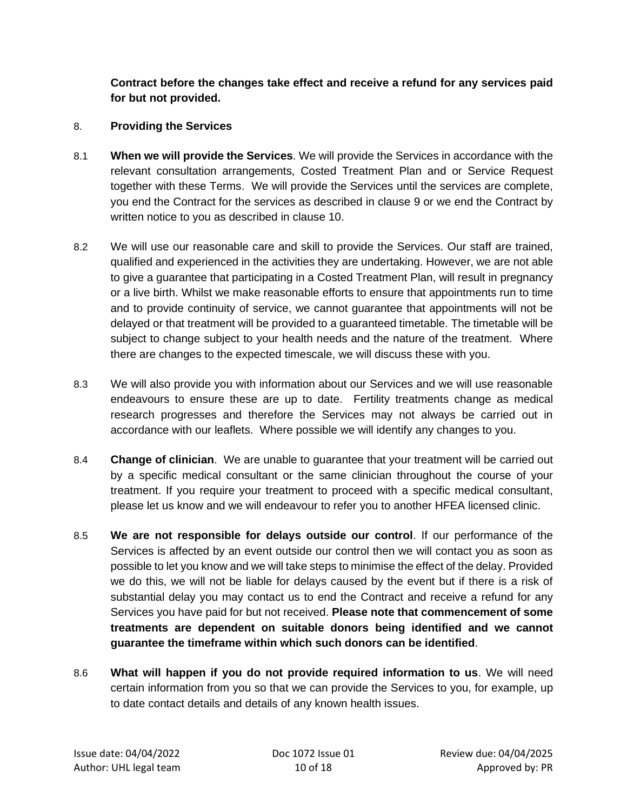**Contract before the changes take effect and receive a refund for any services paid for but not provided.**

#### 8. **Providing the Services**

- 8.1 **When we will provide the Services**. We will provide the Services in accordance with the relevant consultation arrangements, Costed Treatment Plan and or Service Request together with these Terms. We will provide the Services until the services are complete, you end the Contract for the services as described in clause [9](#page-10-1) or we end the Contract by written notice to you as described in clause [10.](#page-11-1)
- 8.2 We will use our reasonable care and skill to provide the Services. Our staff are trained, qualified and experienced in the activities they are undertaking. However, we are not able to give a guarantee that participating in a Costed Treatment Plan, will result in pregnancy or a live birth. Whilst we make reasonable efforts to ensure that appointments run to time and to provide continuity of service, we cannot guarantee that appointments will not be delayed or that treatment will be provided to a guaranteed timetable. The timetable will be subject to change subject to your health needs and the nature of the treatment. Where there are changes to the expected timescale, we will discuss these with you.
- 8.3 We will also provide you with information about our Services and we will use reasonable endeavours to ensure these are up to date. Fertility treatments change as medical research progresses and therefore the Services may not always be carried out in accordance with our leaflets. Where possible we will identify any changes to you.
- 8.4 **Change of clinician**. We are unable to guarantee that your treatment will be carried out by a specific medical consultant or the same clinician throughout the course of your treatment. If you require your treatment to proceed with a specific medical consultant, please let us know and we will endeavour to refer you to another HFEA licensed clinic.
- 8.5 **We are not responsible for delays outside our control**. If our performance of the Services is affected by an event outside our control then we will contact you as soon as possible to let you know and we will take steps to minimise the effect of the delay. Provided we do this, we will not be liable for delays caused by the event but if there is a risk of substantial delay you may contact us to end the Contract and receive a refund for any Services you have paid for but not received. **Please note that commencement of some treatments are dependent on suitable donors being identified and we cannot guarantee the timeframe within which such donors can be identified**.
- 8.6 **What will happen if you do not provide required information to us**. We will need certain information from you so that we can provide the Services to you, for example, up to date contact details and details of any known health issues.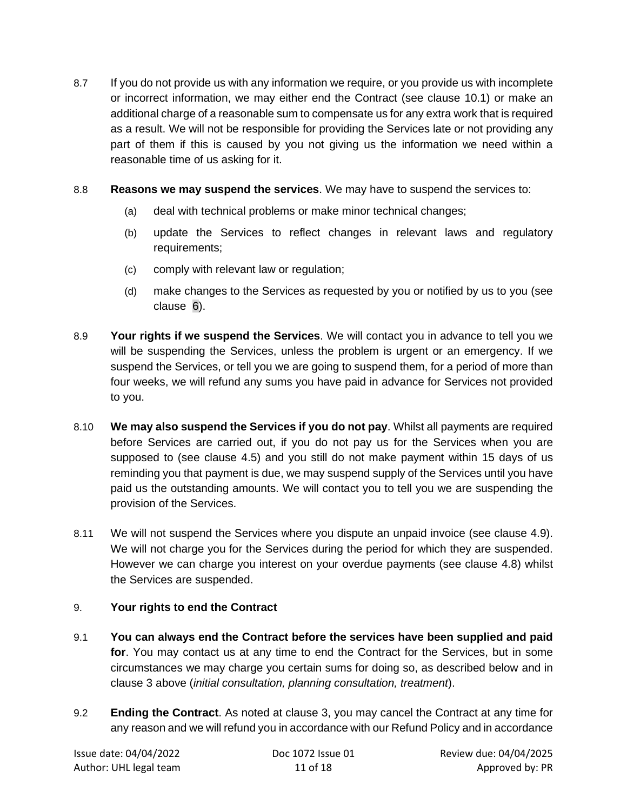- 8.7 If you do not provide us with any information we require, or you provide us with incomplete or incorrect information, we may either end the Contract (see clause [10.1\)](#page-11-2) or make an additional charge of a reasonable sum to compensate us for any extra work that is required as a result. We will not be responsible for providing the Services late or not providing any part of them if this is caused by you not giving us the information we need within a reasonable time of us asking for it.
- 8.8 **Reasons we may suspend the services**. We may have to suspend the services to:
	- (a) deal with technical problems or make minor technical changes;
	- (b) update the Services to reflect changes in relevant laws and regulatory requirements;
	- (c) comply with relevant law or regulation;
	- (d) make changes to the Services as requested by you or notified by us to you (see clause [6\)](#page-8-0).
- 8.9 **Your rights if we suspend the Services**. We will contact you in advance to tell you we will be suspending the Services, unless the problem is urgent or an emergency. If we suspend the Services, or tell you we are going to suspend them, for a period of more than four weeks, we will refund any sums you have paid in advance for Services not provided to you.
- 8.10 **We may also suspend the Services if you do not pay**. Whilst all payments are required before Services are carried out, if you do not pay us for the Services when you are supposed to (see clause [4.5\)](#page-7-0) and you still do not make payment within 15 days of us reminding you that payment is due, we may suspend supply of the Services until you have paid us the outstanding amounts. We will contact you to tell you we are suspending the provision of the Services.
- 8.11 We will not suspend the Services where you dispute an unpaid invoice (see clause [4.9\)](#page-7-4). We will not charge you for the Services during the period for which they are suspended. However we can charge you interest on your overdue payments (see clause [4.8\)](#page-7-1) whilst the Services are suspended.

# <span id="page-10-1"></span>9. **Your rights to end the Contract**

- 9.1 **You can always end the Contract before the services have been supplied and paid for**. You may contact us at any time to end the Contract for the Services, but in some circumstances we may charge you certain sums for doing so, as described below and in clause [3](#page-2-0) above (*initial consultation, planning consultation, treatment*).
- <span id="page-10-0"></span>9.2 **Ending the Contract**. As noted at clause [3,](#page-2-0) you may cancel the Contract at any time for any reason and we will refund you in accordance with our Refund Policy and in accordance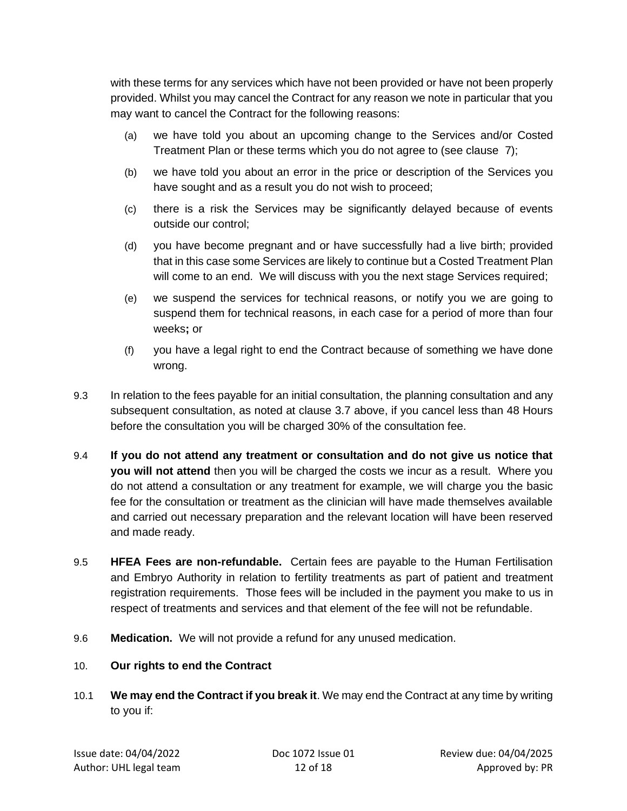with these terms for any services which have not been provided or have not been properly provided. Whilst you may cancel the Contract for any reason we note in particular that you may want to cancel the Contract for the following reasons:

- (a) we have told you about an upcoming change to the Services and/or Costed Treatment Plan or these terms which you do not agree to (see clause [7\)](#page-8-1);
- (b) we have told you about an error in the price or description of the Services you have sought and as a result you do not wish to proceed;
- (c) there is a risk the Services may be significantly delayed because of events outside our control;
- (d) you have become pregnant and or have successfully had a live birth; provided that in this case some Services are likely to continue but a Costed Treatment Plan will come to an end. We will discuss with you the next stage Services required;
- (e) we suspend the services for technical reasons, or notify you we are going to suspend them for technical reasons, in each case for a period of more than four weeks**;** or
- (f) you have a legal right to end the Contract because of something we have done wrong.
- 9.3 In relation to the fees payable for an initial consultation, the planning consultation and any subsequent consultation, as noted at clause [3.7](#page-3-0) above, if you cancel less than 48 Hours before the consultation you will be charged 30% of the consultation fee.
- <span id="page-11-0"></span>9.4 **If you do not attend any treatment or consultation and do not give us notice that you will not attend** then you will be charged the costs we incur as a result. Where you do not attend a consultation or any treatment for example, we will charge you the basic fee for the consultation or treatment as the clinician will have made themselves available and carried out necessary preparation and the relevant location will have been reserved and made ready.
- 9.5 **HFEA Fees are non-refundable.** Certain fees are payable to the Human Fertilisation and Embryo Authority in relation to fertility treatments as part of patient and treatment registration requirements. Those fees will be included in the payment you make to us in respect of treatments and services and that element of the fee will not be refundable.
- 9.6 **Medication.** We will not provide a refund for any unused medication.
- <span id="page-11-1"></span>10. **Our rights to end the Contract**
- <span id="page-11-2"></span>10.1 **We may end the Contract if you break it**. We may end the Contract at any time by writing to you if: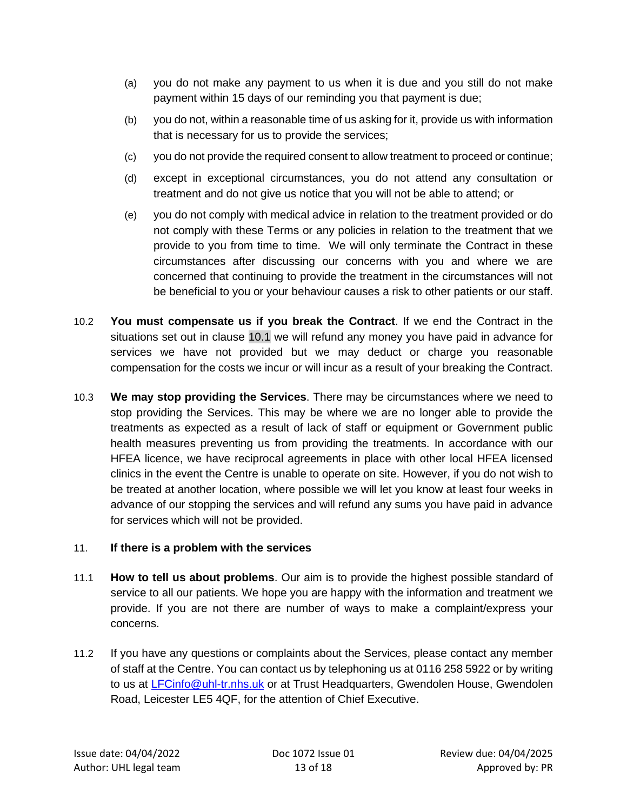- (a) you do not make any payment to us when it is due and you still do not make payment within 15 days of our reminding you that payment is due;
- (b) you do not, within a reasonable time of us asking for it, provide us with information that is necessary for us to provide the services;
- (c) you do not provide the required consent to allow treatment to proceed or continue;
- (d) except in exceptional circumstances, you do not attend any consultation or treatment and do not give us notice that you will not be able to attend; or
- (e) you do not comply with medical advice in relation to the treatment provided or do not comply with these Terms or any policies in relation to the treatment that we provide to you from time to time. We will only terminate the Contract in these circumstances after discussing our concerns with you and where we are concerned that continuing to provide the treatment in the circumstances will not be beneficial to you or your behaviour causes a risk to other patients or our staff.
- 10.2 **You must compensate us if you break the Contract**. If we end the Contract in the situations set out in clause [10.1](#page-11-2) we will refund any money you have paid in advance for services we have not provided but we may deduct or charge you reasonable compensation for the costs we incur or will incur as a result of your breaking the Contract.
- 10.3 **We may stop providing the Services**. There may be circumstances where we need to stop providing the Services. This may be where we are no longer able to provide the treatments as expected as a result of lack of staff or equipment or Government public health measures preventing us from providing the treatments. In accordance with our HFEA licence, we have reciprocal agreements in place with other local HFEA licensed clinics in the event the Centre is unable to operate on site. However, if you do not wish to be treated at another location, where possible we will let you know at least four weeks in advance of our stopping the services and will refund any sums you have paid in advance for services which will not be provided.

#### <span id="page-12-0"></span>11. **If there is a problem with the services**

- 11.1 **How to tell us about problems**. Our aim is to provide the highest possible standard of service to all our patients. We hope you are happy with the information and treatment we provide. If you are not there are number of ways to make a complaint/express your concerns.
- 11.2 If you have any questions or complaints about the Services, please contact any member of staff at the Centre. You can contact us by telephoning us at 0116 258 5922 or by writing to us at [LFCinfo@uhl-tr.nhs.uk](mailto:LFCinfo@uhl-tr.nhs.uk) or at Trust Headquarters, Gwendolen House, Gwendolen Road, Leicester LE5 4QF, for the attention of Chief Executive.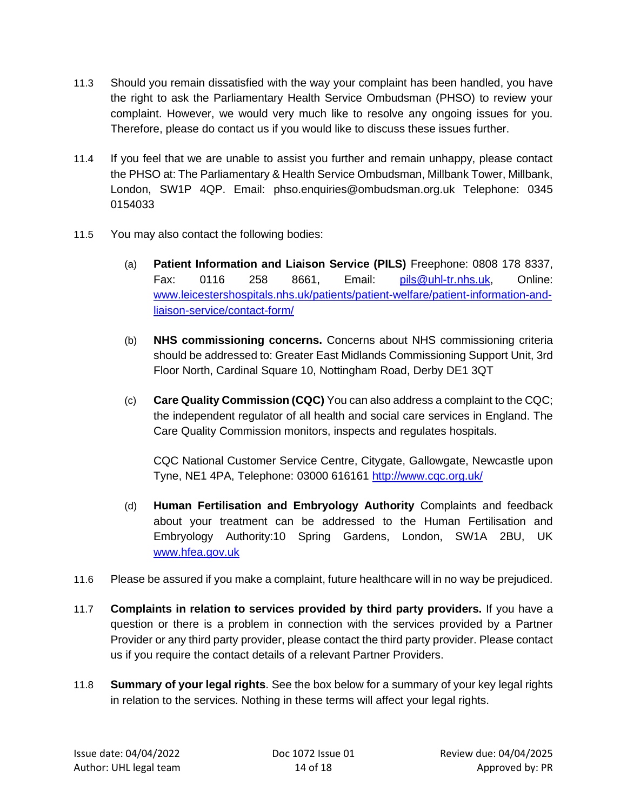- 11.3 Should you remain dissatisfied with the way your complaint has been handled, you have the right to ask the Parliamentary Health Service Ombudsman (PHSO) to review your complaint. However, we would very much like to resolve any ongoing issues for you. Therefore, please do contact us if you would like to discuss these issues further.
- 11.4 If you feel that we are unable to assist you further and remain unhappy, please contact the PHSO at: The Parliamentary & Health Service Ombudsman, Millbank Tower, Millbank, London, SW1P 4QP. Email: phso.enquiries@ombudsman.org.uk Telephone: 0345 0154033
- 11.5 You may also contact the following bodies:
	- (a) **Patient Information and Liaison Service (PILS)** Freephone: 0808 178 8337, Fax: 0116 258 8661, Email: [pils@uhl-tr.nhs.uk,](mailto:pils@uhl-tr.nhs.uk) Online: [www.leicestershospitals.nhs.uk/patients/patient-welfare/patient-information-and](http://www.leicestershospitals.nhs.uk/patients/patient-welfare/patient-information-and-liaison-service/contact-form/)[liaison-service/contact-form/](http://www.leicestershospitals.nhs.uk/patients/patient-welfare/patient-information-and-liaison-service/contact-form/)
	- (b) **NHS commissioning concerns.** Concerns about NHS commissioning criteria should be addressed to: Greater East Midlands Commissioning Support Unit, 3rd Floor North, Cardinal Square 10, Nottingham Road, Derby DE1 3QT
	- (c) **Care Quality Commission (CQC)** You can also address a complaint to the CQC; the independent regulator of all health and social care services in England. The Care Quality Commission monitors, inspects and regulates hospitals.

CQC National Customer Service Centre, Citygate, Gallowgate, Newcastle upon Tyne, NE1 4PA, Telephone: 03000 616161<http://www.cqc.org.uk/>

- (d) **Human Fertilisation and Embryology Authority** Complaints and feedback about your treatment can be addressed to the Human Fertilisation and Embryology Authority:10 Spring Gardens, London, SW1A 2BU, UK [www.hfea.gov.uk](http://www.hfea.gov.uk/)
- 11.6 Please be assured if you make a complaint, future healthcare will in no way be prejudiced.
- 11.7 **Complaints in relation to services provided by third party providers.** If you have a question or there is a problem in connection with the services provided by a Partner Provider or any third party provider, please contact the third party provider. Please contact us if you require the contact details of a relevant Partner Providers.
- 11.8 **Summary of your legal rights**. See the box below for a summary of your key legal rights in relation to the services. Nothing in these terms will affect your legal rights.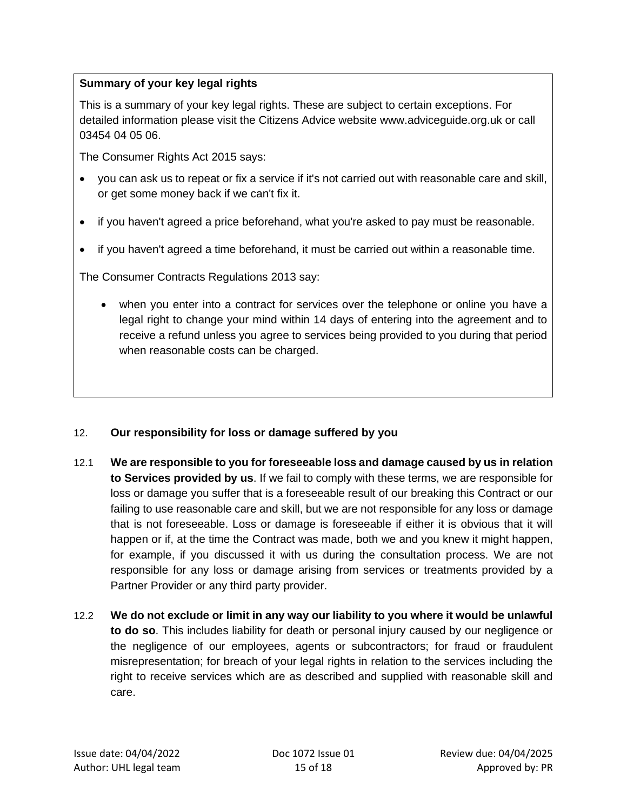# **Summary of your key legal rights**

This is a summary of your key legal rights. These are subject to certain exceptions. For detailed information please visit the Citizens Advice website www.adviceguide.org.uk or call 03454 04 05 06.

The Consumer Rights Act 2015 says:

- you can ask us to repeat or fix a service if it's not carried out with reasonable care and skill, or get some money back if we can't fix it.
- if you haven't agreed a price beforehand, what you're asked to pay must be reasonable.
- if you haven't agreed a time beforehand, it must be carried out within a reasonable time.

The Consumer Contracts Regulations 2013 say:

• when you enter into a contract for services over the telephone or online you have a legal right to change your mind within 14 days of entering into the agreement and to receive a refund unless you agree to services being provided to you during that period when reasonable costs can be charged.

# 12. **Our responsibility for loss or damage suffered by you**

- 12.1 **We are responsible to you for foreseeable loss and damage caused by us in relation to Services provided by us**. If we fail to comply with these terms, we are responsible for loss or damage you suffer that is a foreseeable result of our breaking this Contract or our failing to use reasonable care and skill, but we are not responsible for any loss or damage that is not foreseeable. Loss or damage is foreseeable if either it is obvious that it will happen or if, at the time the Contract was made, both we and you knew it might happen, for example, if you discussed it with us during the consultation process. We are not responsible for any loss or damage arising from services or treatments provided by a Partner Provider or any third party provider.
- 12.2 **We do not exclude or limit in any way our liability to you where it would be unlawful to do so**. This includes liability for death or personal injury caused by our negligence or the negligence of our employees, agents or subcontractors; for fraud or fraudulent misrepresentation; for breach of your legal rights in relation to the services including the right to receive services which are as described and supplied with reasonable skill and care.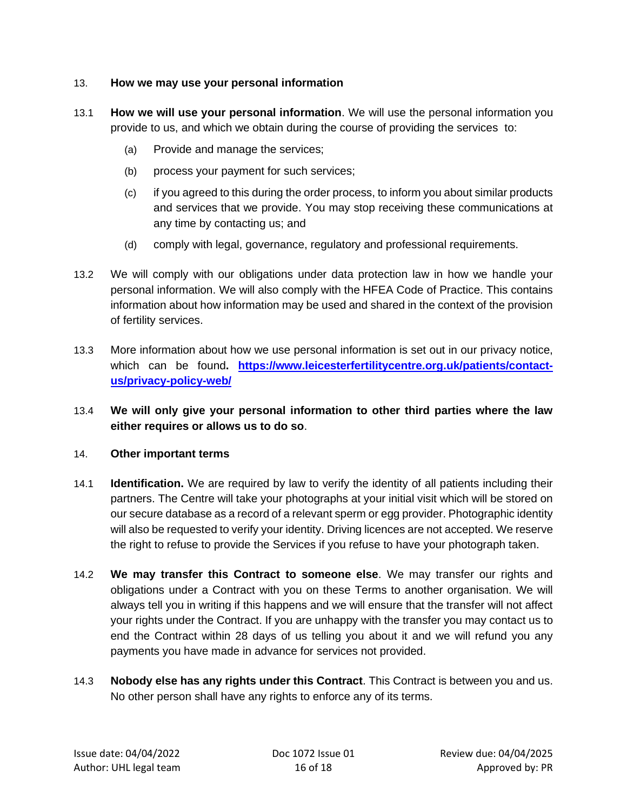#### 13. **How we may use your personal information**

- 13.1 **How we will use your personal information**. We will use the personal information you provide to us, and which we obtain during the course of providing the services to:
	- (a) Provide and manage the services;
	- (b) process your payment for such services;
	- (c) if you agreed to this during the order process, to inform you about similar products and services that we provide. You may stop receiving these communications at any time by contacting us; and
	- (d) comply with legal, governance, regulatory and professional requirements.
- 13.2 We will comply with our obligations under data protection law in how we handle your personal information. We will also comply with the HFEA Code of Practice. This contains information about how information may be used and shared in the context of the provision of fertility services.
- 13.3 More information about how we use personal information is set out in our privacy notice, which can be found**. [https://www.leicesterfertilitycentre.org.uk/patients/contact](https://www.leicesterfertilitycentre.org.uk/patients/contact-us/privacy-policy-web/)[us/privacy-policy-web/](https://www.leicesterfertilitycentre.org.uk/patients/contact-us/privacy-policy-web/)**
- 13.4 **We will only give your personal information to other third parties where the law either requires or allows us to do so**.

# 14. **Other important terms**

- 14.1 **Identification.** We are required by law to verify the identity of all patients including their partners. The Centre will take your photographs at your initial visit which will be stored on our secure database as a record of a relevant sperm or egg provider. Photographic identity will also be requested to verify your identity. Driving licences are not accepted. We reserve the right to refuse to provide the Services if you refuse to have your photograph taken.
- 14.2 **We may transfer this Contract to someone else**. We may transfer our rights and obligations under a Contract with you on these Terms to another organisation. We will always tell you in writing if this happens and we will ensure that the transfer will not affect your rights under the Contract. If you are unhappy with the transfer you may contact us to end the Contract within 28 days of us telling you about it and we will refund you any payments you have made in advance for services not provided.
- 14.3 **Nobody else has any rights under this Contract**. This Contract is between you and us. No other person shall have any rights to enforce any of its terms.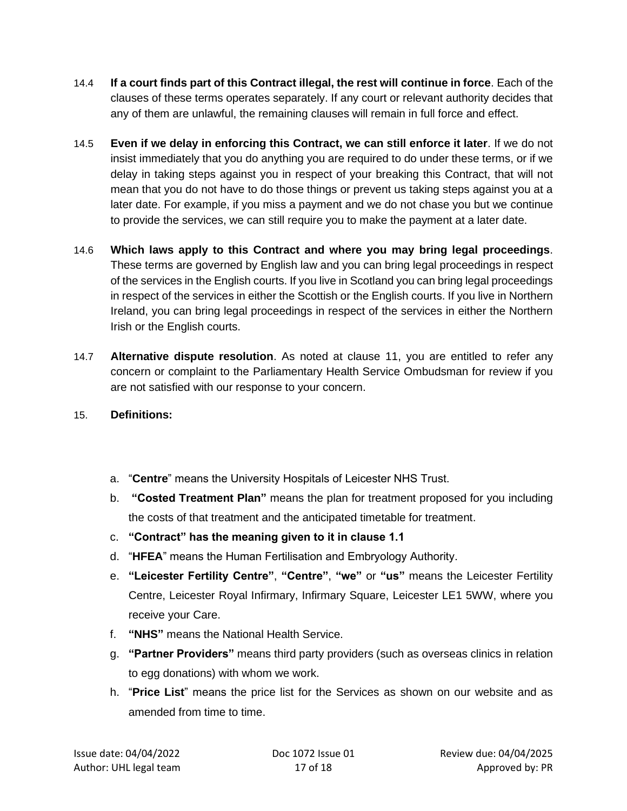- 14.4 **If a court finds part of this Contract illegal, the rest will continue in force**. Each of the clauses of these terms operates separately. If any court or relevant authority decides that any of them are unlawful, the remaining clauses will remain in full force and effect.
- 14.5 **Even if we delay in enforcing this Contract, we can still enforce it later**. If we do not insist immediately that you do anything you are required to do under these terms, or if we delay in taking steps against you in respect of your breaking this Contract, that will not mean that you do not have to do those things or prevent us taking steps against you at a later date. For example, if you miss a payment and we do not chase you but we continue to provide the services, we can still require you to make the payment at a later date.
- 14.6 **Which laws apply to this Contract and where you may bring legal proceedings**. These terms are governed by English law and you can bring legal proceedings in respect of the services in the English courts. If you live in Scotland you can bring legal proceedings in respect of the services in either the Scottish or the English courts. If you live in Northern Ireland, you can bring legal proceedings in respect of the services in either the Northern Irish or the English courts.
- 14.7 **Alternative dispute resolution**. As noted at clause [11,](#page-12-0) you are entitled to refer any concern or complaint to the Parliamentary Health Service Ombudsman for review if you are not satisfied with our response to your concern.
- <span id="page-16-0"></span>15. **Definitions:**
	- a. "**Centre**" means the University Hospitals of Leicester NHS Trust.
	- b. **"Costed Treatment Plan"** means the plan for treatment proposed for you including the costs of that treatment and the anticipated timetable for treatment.
	- c. **"Contract" has the meaning given to it in clause 1.1**
	- d. "**HFEA**" means the Human Fertilisation and Embryology Authority.
	- e. **"Leicester Fertility Centre"**, **"Centre"**, **"we"** or **"us"** means the Leicester Fertility Centre, Leicester Royal Infirmary, Infirmary Square, Leicester LE1 5WW, where you receive your Care.
	- f. **"NHS"** means the National Health Service.
	- g. **"Partner Providers"** means third party providers (such as overseas clinics in relation to egg donations) with whom we work.
	- h. "**Price List**" means the price list for the Services as shown on our website and as amended from time to time.